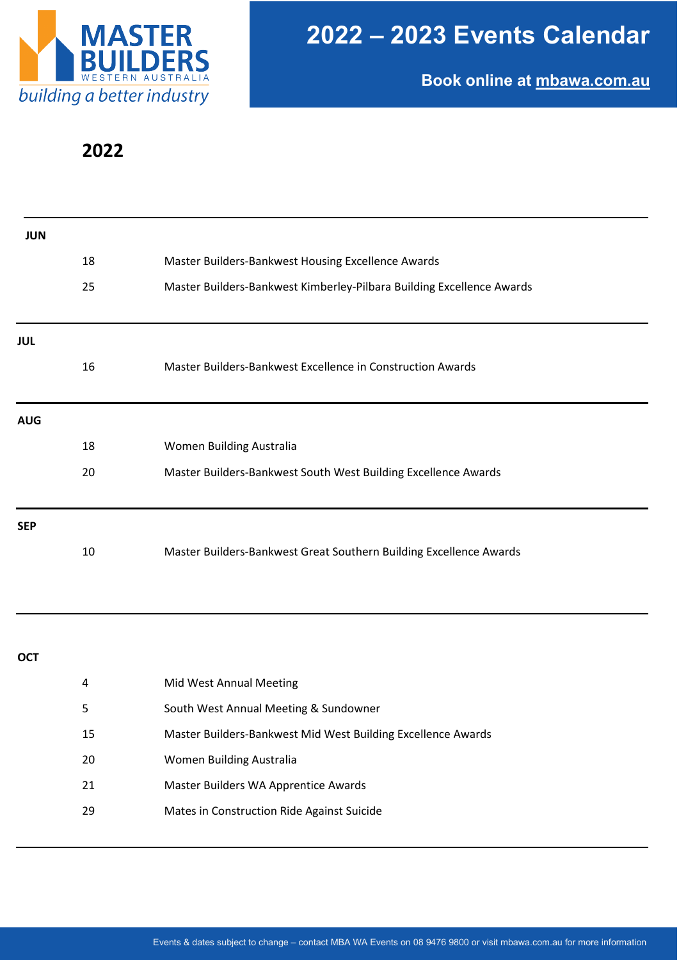

**Book online at [mbawa.com.au](https://www.mbawa.com/event-calendar/)**

## **2022**

| <b>JUN</b> |    |                                                                       |
|------------|----|-----------------------------------------------------------------------|
|            | 18 | Master Builders-Bankwest Housing Excellence Awards                    |
|            | 25 | Master Builders-Bankwest Kimberley-Pilbara Building Excellence Awards |
|            |    |                                                                       |
| <b>JUL</b> |    |                                                                       |
|            | 16 | Master Builders-Bankwest Excellence in Construction Awards            |
| <b>AUG</b> |    |                                                                       |
|            | 18 | Women Building Australia                                              |
|            | 20 | Master Builders-Bankwest South West Building Excellence Awards        |
| <b>SEP</b> |    |                                                                       |
|            | 10 | Master Builders-Bankwest Great Southern Building Excellence Awards    |
|            |    |                                                                       |
| <b>OCT</b> |    |                                                                       |
|            | 4  | Mid West Annual Meeting                                               |
|            | 5  | South West Annual Meeting & Sundowner                                 |
|            | 15 | Master Builders-Bankwest Mid West Building Excellence Awards          |
|            | 20 | Women Building Australia                                              |
|            | 21 | Master Builders WA Apprentice Awards                                  |
|            | 29 | Mates in Construction Ride Against Suicide                            |
|            |    |                                                                       |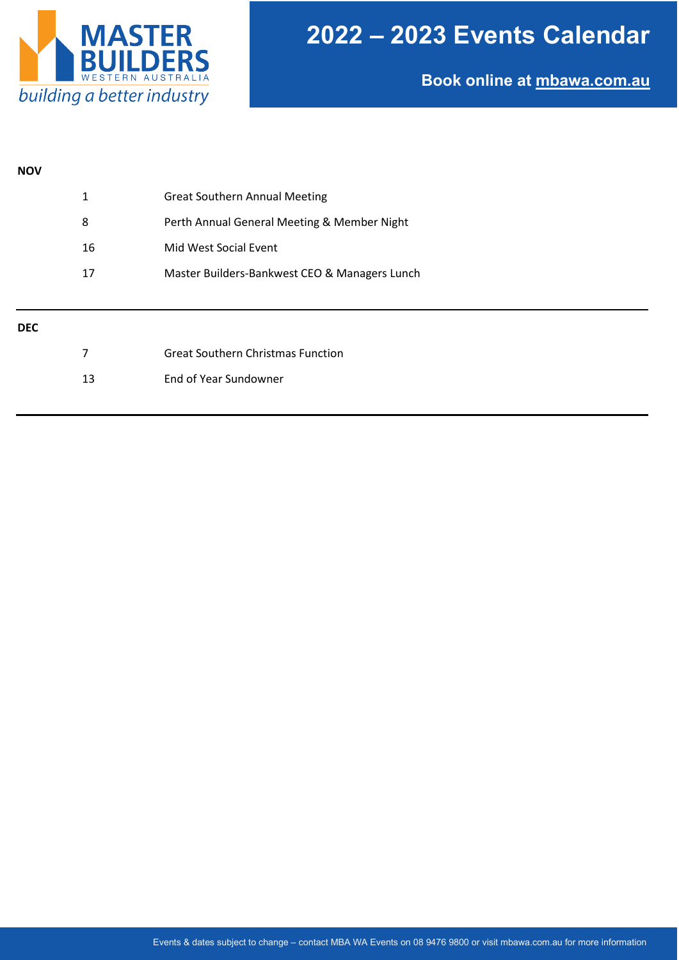

# **2022 – 2023 Events Calendar**

**Book online at [mbawa.com.au](https://www.mbawa.com/event-calendar/)**

#### **NOV**

| 1  | <b>Great Southern Annual Meeting</b>          |
|----|-----------------------------------------------|
| 8  | Perth Annual General Meeting & Member Night   |
| 16 | Mid West Social Event                         |
| 17 | Master Builders-Bankwest CEO & Managers Lunch |
|    |                                               |

#### **DEC**

|    | <b>Great Southern Christmas Function</b> |
|----|------------------------------------------|
| 13 | End of Year Sundowner                    |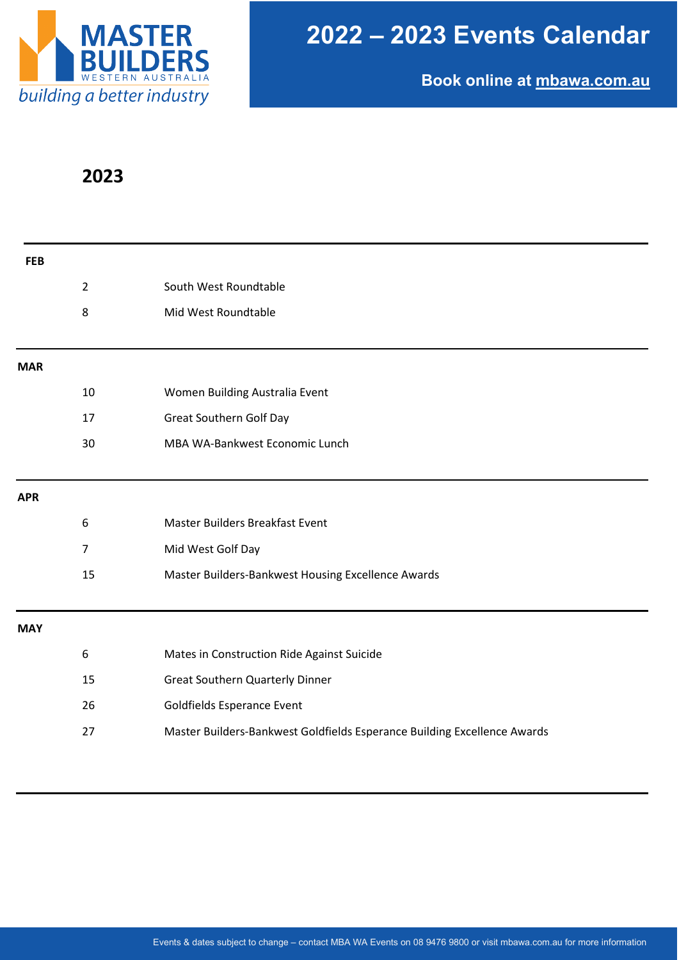

**Book online at [mbawa.com.au](https://www.mbawa.com/event-calendar/)**

## **2023**

| <b>FEB</b> |                |                                                                          |
|------------|----------------|--------------------------------------------------------------------------|
|            | $\overline{2}$ | South West Roundtable                                                    |
|            | 8              | Mid West Roundtable                                                      |
| <b>MAR</b> |                |                                                                          |
|            | 10             | Women Building Australia Event                                           |
|            | 17             | <b>Great Southern Golf Day</b>                                           |
|            | 30             | MBA WA-Bankwest Economic Lunch                                           |
| <b>APR</b> |                |                                                                          |
|            | 6              | Master Builders Breakfast Event                                          |
|            | $\overline{7}$ | Mid West Golf Day                                                        |
|            | 15             | Master Builders-Bankwest Housing Excellence Awards                       |
| <b>MAY</b> |                |                                                                          |
|            | 6              | Mates in Construction Ride Against Suicide                               |
|            | 15             | <b>Great Southern Quarterly Dinner</b>                                   |
|            | 26             | Goldfields Esperance Event                                               |
|            | 27             | Master Builders-Bankwest Goldfields Esperance Building Excellence Awards |
|            |                |                                                                          |